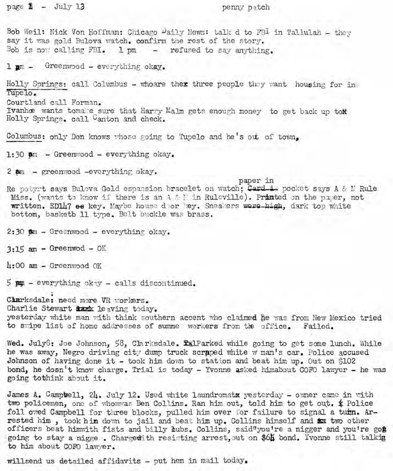$page \& - July 13$  penny patch

Bob Weil: Nick Von Hoffman: Chicago  $\mu$ aily News: talk d to FBI in Tallulah - they say it was gold Bulova watch. confirm the rest of the story. Bob is now calling  $FBL$ . 1 pm - refused to say anything.

 $1$   $gm -$  Greenwood - everything okay.

Holly Springs: call Columbus - whoare thex three people they want, housing for in TUpelo. Courtland call Forman. Ivanhœ wants tomake sure that Harry Malm gets enough money to get back up toN Holly Springs. call Canton and check.

Columbus: only Don knows whose going to Tupelo and he's out of town.

 $1:30$   $\mathsf{a}$ m - Greenwood - everything okay.

 $2$   $\alpha$  - greenwood -everything okay.

paper in Re potypt says Bulova Gold espansion bracelet on watch; Card-i pocket says A & 1f Rule Miss. (wants to know if there is an A & L in Ruleville). Printed on the paper, not written. ED147 es key. Maybe house door key. Sneakers were-high, dark top white bottom, basketb 11 type. Belt buckle was brass.

 $2:30$   $m$  - Greenwood - everything okay.

 $3:15$  am - Greenwod - OK

 $4:00$  am - Greenwood OK

 $5$   $p$ m - everything okay - calls discontinued.

Clarksdale: need more VR workers. Charlie Stewart ixxxx leaving today.

ye sterday white man with think southern accent who claimed he was from New Mexico tried to swipe list of home addresses of summe workers from the office. Failed.

Wed. July6: Joe Johnson, 58, Clarksdale. ExlParked while going to get some lunch. While he was away, Negro driving city dump truck scraped white w man's car. Police accused Johnson of having done it - took him down to station and beat him up. Out on \$102 bond, he dosn't know charge. Trial is today - Yvonne asked himabout COFO lawyer - he was going tothink about it.

James A. Campbell,  $2h$ . July 12. Used white laundromatx yesterday - owner came in with two policemen, one of whomwas Ben Collins. Ran him out, told him to get out.  $\oint$  Police foll owed Campbell for three blocks, pulled him over for failure to signal a turn. Arrested him, took him down to jail and beat him up. Collins himself and ta two other officers beat himwith fists and billy *dubs. Collins*, said"you're a nigger and you're go# going to stay a nigge. Chargedith resisting arrest, out on \$64 bond. Yvonne still talkig to him about COFO lawyer.

willsend us detailed affidavits - put hem in mail today.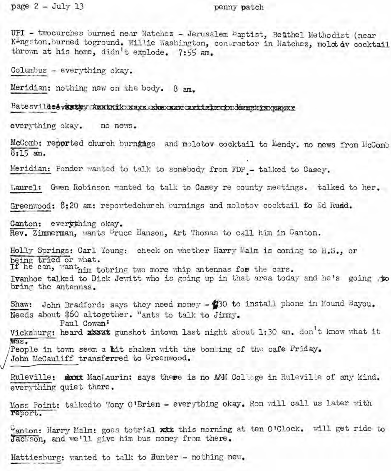page 2 - July 13 penny patch

UPI - twocurches burned near Natchez - Jerusalem Paptist, Beithel Methodist (near K<sup>I</sup>ngston. burned toground. Willie Washington, contractor in Natchez, mold av cocktail thrown at his home, didn't explode. 7:55 am.

Columbus - everything okay.

Meridian: nothing new on the body. 8 am.

Batesvilleetvintiny Amatoikosaysoshaxsanoartislaxinoidemphisxnapsa

everything okay. no news.

McComb: reported church burnings and molotov cocktail to Mendy. no news from McComb 8:15 am.

Meridian: Ponder wanted to talk to somebody from FDP - talked to Casey. Meridian: Ponder wanted to talk to somebody from FDP.

Laurel: Gwen Robinson wanted to talk to Casey re county meetings. talked to her.

Greenwood: 8:20 am: reportedchurch burnings and molotov cocktail fo Ed Rudd.

Canton: everything okay. Rev. Zimmerman, wants <sup>B</sup>ruce Hanson, Art Thomas to call him in Canton.

Holly Springs: Carl Young: check on whether Harry Malm is coming to H.S., or being tried or what.

If he can, want<sub>him</sub> tobring two more whip antennas for the cars Ivanhoe talked to Dick Jewitt who is going up in that area today and he's going to bring the antennas.

Shaw: John Bradford: says they need money  $-$  30 to install phone in Mound Bayou. Needs about \$60 altogether. "ants to talk to Jimmy.

Paul Cowan; ,

Vicksburg: heard  $x$ bout gunshot intown last night about 1:30 am. don't know what it was. People in town seem a bit shaken with the bombing of the cafe Friday. Paul Cowan:<br>Vicksburg: heard xbout gunshot intown last night about 1:30 am. don't know what it<br>Mas.<br>People in town seem a bit shaken with the bombing of the cafe Friday.<br>John McCauliff transferred to Greenwood.<br>Ruleville:

John McCauliff transferred to Greenwood.

everything quiet there.

Moss Point: talkedto Tony O'Brien - everything okay, Ron will call us later with report.

Canton: Harry Malm: goes totrial xit this morning at ten O'Clock. will get ride to Jackson, and we'll give him bus money from there.

Hattiesburg: wanted to talk to Hunter - nothing new.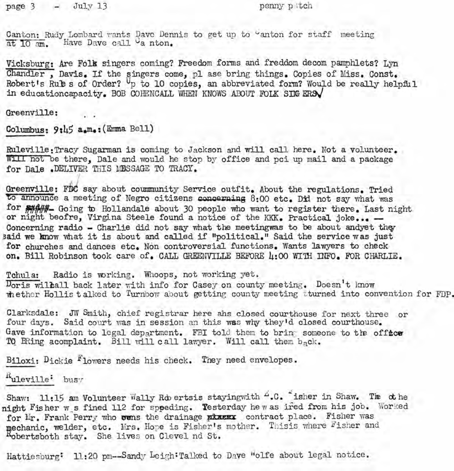page 3 - July 13 penny patch

Canton: Rudy Lombard wants Dave Dennis to get up to "anton for staff meeting at 10 am. Have Dave call Ca nton.

Vicksburg: Are Folk singers coming? Freedom forms and freddom decompamphlets? Lyn Chandler, Davis. If the singers come, pl ase bring things. Copies of Miss. Const. Robert's Rules of Order? Up to 10 copies, an abbreviated form? Would be really helpful in educationcapacity. BOB COHENCALL WHEN KNOWS ABOUT FOLK SIMGERS

Greenville:

 $Columnus: 9:45 a.m.:$  (Emma Bell)

*r*

Ruleville:Tracy Sugarman is coming to Jackson and will call here. Not a volunteer. Will not be there, Dale and would he stop by office and pci up mail and a package for Dale .DELIVER THIS MESSAGE TO TRACY.

Greenville: FDC say about coummunity Service outfit. About the regulations. Tried to announce a meeting of Negro citizens concerning  $8:00$  etc. Did not say what was for  $\frac{1}{2}$  Going to Hollandale about 30 people who want to register there. Last night or night beofre, Virgina Steele found a notice of the KKK. Practical joke ... -Concerning radio - Charlie did not say what the meetingwas to be about andyet they Baid we know what it is about and called if "political." Said the service was just for churches and dances etc. Non controversial functions. Wants lawyers to check on. Bill Robinson took care of. CALL GREENVILLE BEFORE 4:00 WITH INFO. FOR CHARLIE.

Tchula: Radio is yorking. Whoops, not working yet.  $D_{\text{orig}}$  will all back later with info for Casey on county meeting. Doesn't know whether Hollis talked to Turnbow about getting county meeting tturned into convention for FDP.

Clarksdale: JWSmith, chief registrar here ahs closed courthouse for next three or four days. Said court was in session an this was why they'd closed courthouse. Gave information to legal department. FBI told them to bring someone to the offtce TQ BRing acomplaint. Bill will call lawyer. Will call them back.

Biloxi:  $Dickie$   $F_{\text{lowers}}$  needs his check. They need envelopes.

Ruleville: busy

Shaw: 11:15 am Volunteer Wally Robertsis stayingwith  $4.0$ . "isher in Shaw. The othe night Fisher w s fined 112 for sppeding. Testerday he w as ired from his job. Worked for Mr. Frank Perry who wens the drainage placex contract place. Fisher was mechanic, welder, etc. Mrs. Hope is Fisher's mother. Thisis where Fisher and Robertsboth stay. She lives on Clevel nd St.

Hattiesburg: 11:20 pm--Sandy Leigh:Talked to Dave "olfe about legal notice.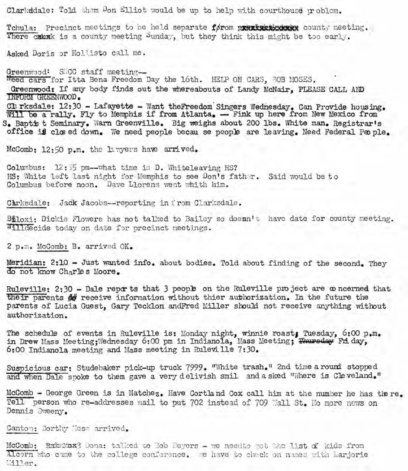Clarkddale: Told them Don Elliot would be up to help with courthouse  $\text{tr}$  oblem.

Tchula: Precinct meetings to be held separate førom prezintstederer county meeting. There cannot is a county meeting Sunday, but they think this might be too early.

Asked Doris or Hollisto call me.

Greenwood: SICC staff meeting-Need cars for Itta Bena Freedom Day the 16th. HELP ON CARS, BOB MOSES. Greenwood: If any body finds out the whereabouts of Landy McNair. PLEASE CALL AND DlFuRM GREENWOOD. Oll.rksdale: 12:30 - Lafayette - Want theFreedom· Singers Wednesday. Can Provide hous ing , Will be a rally. Fly to Memphis if from Atlanta. - Fink up here from New Mexico from S. Baptis t Seminary. Warn Greenville. Big weighs about 200 lbs. White man. Registrar's office is closed down. We need people becau se people are leaving. Need Federal People.

McComb: 12:50 p.m. the havers have arrived.

 $Columnus: 12: 55 pm--what time is D. Whiteleaving HS?$ HS: White left last night for Memphis to see Don's father. Said would be to Columbus before noon. Dave Llorens went whith him.

Chrksdale: Jack Jacobs--reporting in from Clarksdale.

Biloxi: Dickie Flowers has not talked to Bailey so doean't have date for county meeting. Willdecide today on date for precinct meetings.

2 p.m. McComb:B. arrived OK.

Meridian: 2:10 - Just wanted info. about bodies. Told about finding of the second. They do not know Charles Moore.

Ruleville:  $2:30$  - Dale reports that 3 people on the Ruleville project are  $\infty$  ncerned that their parents  $#$  receive information without thier authorization. In the future the parents of Lucia Guest, Gary Tecklon andFred Miller should not receive anything without authorization.

The schedule of events in Ruleville is: Monday night, winnie roast, Tuesday, 6:00 p.m. in Drew Mass Meeting; Wednesday 6:00 pm in Indianola, Mass Meeting; Thursday Friday, 6:00 Indianola meeting and Mass meeting in Rulevi lle 7:30.

Suspicious car: Studebaker pick-up truck 7999. "White trash." 2nd time a round stopped and when Dale spoke to them gave a very delivish smil and a sked "Where is Cleveland."

McComb - George Green is in Natchez. Have Cortland Cox call him at the number he has the re. Tell person who re-addresses mail to put 702 instead of 709 Wall St. Ho more news on Dennis Svreeny.

Canton: Dorthy Micss arrived.

McComb: Rmw:Yox? Dona: talked to 30b Deyers - we needte get the list of kids from Alcorn who came to the college conference. we have to check on names with Larjorie  $\,$  $\,$ iiller.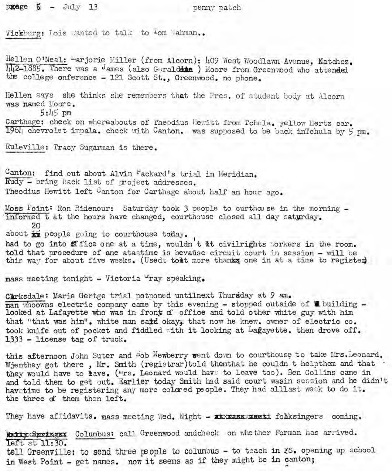pgage  $\frac{1}{2}$  - July 13 nemy patch

Vickburg: Lois wanted to talk to 'om Wahman..

Hellen O'Neal: "arjorie Miller (from Alcorn): 409 West Woodlawn Avenue, Natchez.  $\overline{\text{lu}}$ 2-1885. There was a James (also Geraldame ) Moore from Greenwood who attended the college onference - 121 Scott St., Greenwood. no phone.

Hellen says she thinks she remembers that the Pres. of student body at Alcorn was named Moore.

5:45 pm

Carthage: check on whereabouts of Theodius Hewitt from Tchula. yellow Hertz car. 196L, chevrolet impala. check with Canton. was supposed to be back inTchula by 5 pm,

Ruleville: Tracy Sugarman is there.

Canton: find out about Alvin Fackard's trial in Meridian. Rudy - bring back list of project addresses. Theodius Hewitt left Canton for Carthage about half an hour ago.

Moss Point: Ron Ridenour: Saturday took 3 people to curthouse in the morning informed t at the hours have changed, courthouse closed all day saturday. 20

about  $\frac{1}{12}$  people going to courthouse taday.

, had to go into office one at a time, wouldn t et civilrights "orkers in the room. told that procedure of ane ataatime is bevause circuit court in session - will be this way for about five weeks. (Usedt to the more thanks one in at a time to register)

mass meeting tonight - Victoria "ray speaking.

Carksdale: Marie Gertge trial petponed untilnext Thursday at 9 am. man whoowns electric company came by this evening - stopped outside of  $\blacksquare$  building looked at Lafayette who was in front of office and told other white guy with him that "that was him". white man said okay. that now he knew, owner of electric co. took knife out of pocket and fiddled with it looking at Lagayette. then drove off. 1333 - license tag of truck.

this afternoon John Suter and Bob Newberry went down to courthouse to take Mrs. Leonard. Wjenthey got there, Mr. Smith (registrar)told themthat he couldn t helpthem and that they would have to *have.* ("rs. Leonard would have to leave too). Ben Collins came in and told them to get out. Earlier today Smith had said court wasin session and he didn't havetime to be registering any more colored people. They had alllast week to do it. the three of them then left.

They have affidavits. mass meeting Wed. Night - ~ foihksingers coming.

Intive Springs: Columbus: call Greenwood and check on whether Forman has arrived. left at 11:30. tell Greenville: to send three people to columbus - to teach in FS. opening up school in West Point - get names. now it seems as if they might be in canton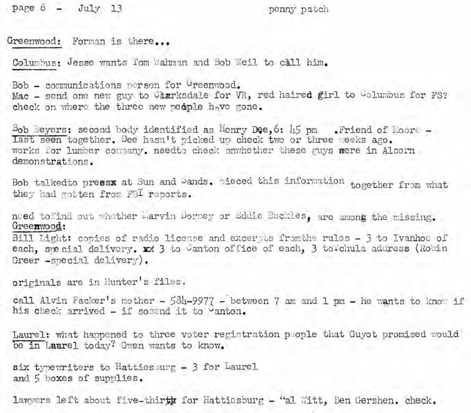page 6 - July 13 penny patch

Greenwood: Forman is there...

Columbus: Jesse wants Tom Wahman and Bob Weil to call him.

Bob - communications person for Greenwood. Mac - send one new guy to Charksdale for VR, red haired girl to Columbus for FS? check on where the three new people have gone.

Bob Beyers: second body identified as Henry Dee. 6:  $\overline{15}$  pm . Friend of Moore -Last seen together. Dee hasn't picked up check two or three weeks ago. works for lumber correny, needto check onvhether these guys were in Alcorn demonstrations.

Bob talkedto preesx at Sun and Sands. pieced this information together from what they had gotten from FBI reports.

need to:tind out whether larvin Dorsey or Eddie Buckles, are among the missing. Greenwood:

Bill Light: copies of radio license and excertis fromthe rules - 3 to Ivanhoe of each, spe cial delivery. In 3 to Canton office of each, 3 to Chula address (Robin Greer -special delivery).

originals are in Hunter's files.

call Alvin Packer's mother -  $584-9977$  - between 7 am and 1 pm - he wants to know if his check arrived - if sosend it to vanton.

Laurel: what happened to three voter registration pcople that Guyot promised would be in Laurel today? Gwen wants to know.

six typewriters to Hattiesourg  $-$  3 for Laurel and 5 boxes of supplies.

lawyers left about five-thirth for Hattiesburg - "al Witt, Ben Gershen. check.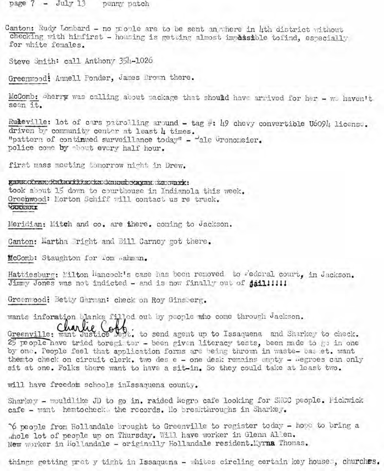$page 7 - July 13$   $penny$   $patch$ 

Canton: Rudy Lombard - no people are to be sent an where in hth district vrithout. checking with hinfirst - housing is getting almost impossible tofind, especially for white females.

Steve Smith: call Anthony 354-1026

Greenwood! Annell Ponder, James Brown there.

McComb: Sherry was calling about package that should have arrived for her - *we haven't* seen it.

Ruleville: lot of cars patrolling around - tag #: 49 chevy convertible U6094 license. driven by community center at least  $\mu$  times. "pattern of continued surveillance today" - "ale Gronomeier. police come by phout every half hour.

first mass meeting tomorrow night, in Drew.

gammxKrmondxhdxxxdxxdxoundxxxxxx to work: took about 15 down to courthouse in Indianola this week. Greenwood: Morton Schiff will contact us re truck. ~ -I--

Meridian: Mitch and co. are there. coming to Jackson.

Canton: Martha 'right and Bill Carney got there.

McComb: Staughton for Tom wahman.

Hattiesburg: Milton Hancock's case has been removed to rederal court, in Jackson. Jimmy Jones was not indicted - and is now finally out of **jail!!!!!!** 

**Green1.···;ood: Betty** Garman: **check <sup>011</sup> Roy Gins8erg.**

wants informtion blanks filled out by people who come through Jackson.

Greenville: wantile Collection send agent up to Issaquena and Sharkey to check.  $25$  people have tried toregi ter - been given literacy tests, been made to go in one by one. People feel that application forms are being thrown in waste- bas et. want themto check on circuit clerk. two des  $e$  - one desk remains empty -  $i$ egroes can only sit at one. Folks there want to have a sit-in. So they could take at least two.

will have freedom schools in Issaquena county.

Sharkey - wouldlike JD to go in. raided Negro cafe looking for SNCC people. Fickwick cafe - want hemtocheck, the records. No breakthroughs in Sharkey.

"6 people from Hollandale brought to Greenville to register today - hope to bring a .hole lot of people up on Thursday. Will have worker in Glenn Allen. New worker in Hollandale - originally Hollandale resident.Myrna Thomas.

things getting pret y tight in Issaquena - whites circling certain key houses, churches.